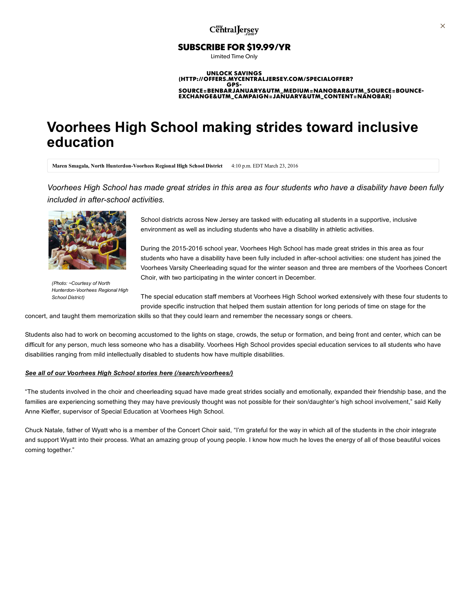## SUBSCRIBE FOR \$19.99/YR

Limited Time Only

#### UNLOCK SAVINGS (HTTP://OFFERS.MYCENTRALJERSEY.COM/SPECIALOFFER? **GPS** [SOURCE=BENBARJANUARY&UTM\\_MEDIUM=NANOBAR&UTM\\_SOURCE=BOUNCE-](http://offers.mycentraljersey.com/specialoffer?gps-source=BENBARjanuary&utm_medium=nanobar&utm_source=bounce-exchange&utm_campaign=january&utm_content=nanobar)EXCHANGE&UTM\_CAMPAIGN=JANUARY&UTM\_CONTENT=NANOBAR)

# Voorhees High School making strides toward inclusive education

Maren Smagala, North Hunterdon-Voorhees Regional High School District 4:10 p.m. EDT March 23, 2016

Voorhees High School has made great strides in this area as four students who have a disability have been fully included in after-school activities.



(Photo: ~Courtesy of North Hunterdon-Voorhees Regional High School District)

School districts across New Jersey are tasked with educating all students in a supportive, inclusive environment as well as including students who have a disability in athletic activities.

During the 2015-2016 school year, Voorhees High School has made great strides in this area as four students who have a disability have been fully included in after-school activities: one student has joined the Voorhees Varsity Cheerleading squad for the winter season and three are members of the Voorhees Concert Choir, with two participating in the winter concert in December.

The special education staff members at Voorhees High School worked extensively with these four students to provide specific instruction that helped them sustain attention for long periods of time on stage for the

concert, and taught them memorization skills so that they could learn and remember the necessary songs or cheers.

Students also had to work on becoming accustomed to the lights on stage, crowds, the setup or formation, and being front and center, which can be difficult for any person, much less someone who has a disability. Voorhees High School provides special education services to all students who have disabilities ranging from mild intellectually disabled to students how have multiple disabilities.

### See all of our Voorhees High School stories here [\(/search/voorhees/\)](http://www.mycentraljersey.com/search/voorhees/)

"The students involved in the choir and cheerleading squad have made great strides socially and emotionally, expanded their friendship base, and the families are experiencing something they may have previously thought was not possible for their son/daughter's high school involvement," said Kelly Anne Kieffer, supervisor of Special Education at Voorhees High School.

Chuck Natale, father of Wyatt who is a member of the Concert Choir said, "I'm grateful for the way in which all of the students in the choir integrate and support Wyatt into their process. What an amazing group of young people. I know how much he loves the energy of all of those beautiful voices coming together."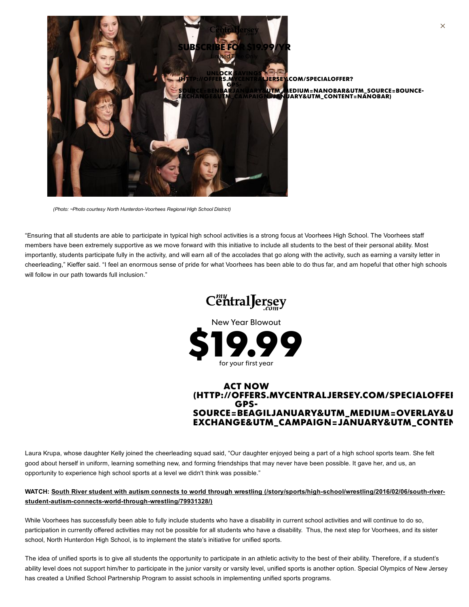

ERSEY.COM/SPECIALOFFER? SOURCE=BENBARJANUARY&<mark>UTM\_M</mark>EDIUM=NANOBAR&UTM\_SOURCE=BOUNCE-<br>EXCHANGE&UTM\_CAMPAIGN=JANUARY&UTM\_CONTENT=NANOBAR)

(Photo: ~Photo courtesy North Hunterdon-Voorhees Regional High School District)

"Ensuring that all students are able to participate in typical high school activities is a strong focus at Voorhees High School. The Voorhees staff members have been extremely supportive as we move forward with this initiative to include all students to the best of their personal ability. Most importantly, students participate fully in the activity, and will earn all of the accolades that go along with the activity, such as earning a varsity letter in cheerleading," Kieffer said. "I feel an enormous sense of pride for what Voorhees has been able to do thus far, and am hopeful that other high schools will follow in our path towards full inclusion."



New Year Blowout



## ACT NOW [\(HTTP://OFFERS.MYCENTRALJERSEY.COM/SPECIALOFFER](http://offers.mycentraljersey.com/specialoffer?gps-source=BEAGILjanuary&utm_medium=overlay&utm_source=bounce-exchange&utm_campaign=january&utm_content=agilityzone)? GPS-SOURCE=BEAGILJANUARY&UTM\_MEDIUM=OVERLAY&U EXCHANGE&UTM\_CAMPAIGN=JANUARY&UTM\_CONTEN

Laura Krupa, whose daughter Kelly joined the cheerleading squad said, "Our daughter enjoyed being a part of a high school sports team. She felt good about herself in uniform, learning something new, and forming friendships that may never have been possible. It gave her, and us, an opportunity to experience high school sports at a level we didn't think was possible."

## WATCH: South River student with autism connects to world through wrestling (/story/sports/high-school/wrestling/2016/02/06/south-riverstudent-autism-connects-world-through-wrestling/79931328/)

While Voorhees has successfully been able to fully include students who have a disability in current school activities and will continue to do so, participation in currently offered activities may not be possible for all students who have a disability. Thus, the next step for Voorhees, and its sister school, North Hunterdon High School, is to implement the state's initiative for unified sports.

The idea of unified sports is to give all students the opportunity to participate in an athletic activity to the best of their ability. Therefore, if a student's ability level does not support him/her to participate in the junior varsity or varsity level, unified sports is another option. Special Olympics of New Jersey has created a Unified School Partnership Program to assist schools in implementing unified sports programs.